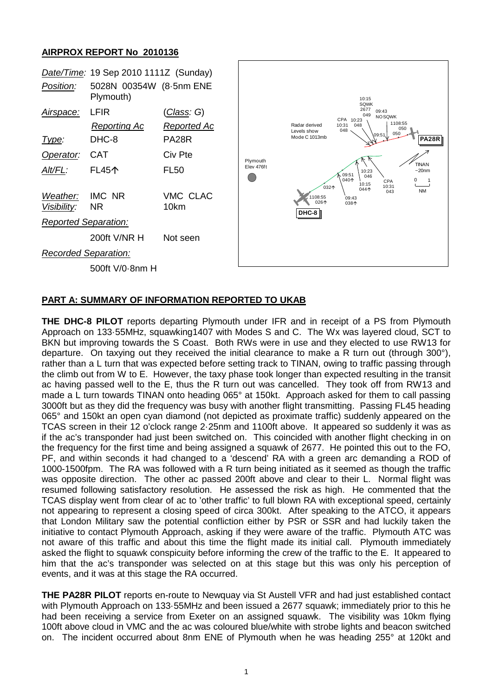## **AIRPROX REPORT No 2010136**



## **PART A: SUMMARY OF INFORMATION REPORTED TO UKAB**

**THE DHC-8 PILOT** reports departing Plymouth under IFR and in receipt of a PS from Plymouth Approach on 133·55MHz, squawking1407 with Modes S and C. The Wx was layered cloud, SCT to BKN but improving towards the S Coast. Both RWs were in use and they elected to use RW13 for departure. On taxying out they received the initial clearance to make a R turn out (through 300°), rather than a L turn that was expected before setting track to TINAN, owing to traffic passing through the climb out from W to E. However, the taxy phase took longer than expected resulting in the transit ac having passed well to the E, thus the R turn out was cancelled. They took off from RW13 and made a L turn towards TINAN onto heading 065° at 150kt. Approach asked for them to call passing 3000ft but as they did the frequency was busy with another flight transmitting. Passing FL45 heading 065° and 150kt an open cyan diamond (not depicted as proximate traffic) suddenly appeared on the TCAS screen in their 12 o'clock range 2·25nm and 1100ft above. It appeared so suddenly it was as if the ac's transponder had just been switched on. This coincided with another flight checking in on the frequency for the first time and being assigned a squawk of 2677. He pointed this out to the FO, PF, and within seconds it had changed to a 'descend' RA with a green arc demanding a ROD of 1000-1500fpm. The RA was followed with a R turn being initiated as it seemed as though the traffic was opposite direction. The other ac passed 200ft above and clear to their L. Normal flight was resumed following satisfactory resolution. He assessed the risk as high. He commented that the TCAS display went from clear of ac to 'other traffic' to full blown RA with exceptional speed, certainly not appearing to represent a closing speed of circa 300kt. After speaking to the ATCO, it appears that London Military saw the potential confliction either by PSR or SSR and had luckily taken the initiative to contact Plymouth Approach, asking if they were aware of the traffic. Plymouth ATC was not aware of this traffic and about this time the flight made its initial call. Plymouth immediately asked the flight to squawk conspicuity before informing the crew of the traffic to the E. It appeared to him that the ac's transponder was selected on at this stage but this was only his perception of events, and it was at this stage the RA occurred.

**THE PA28R PILOT** reports en-route to Newquay via St Austell VFR and had just established contact with Plymouth Approach on 133·55MHz and been issued a 2677 squawk; immediately prior to this he had been receiving a service from Exeter on an assigned squawk. The visibility was 10km flying 100ft above cloud in VMC and the ac was coloured blue/white with strobe lights and beacon switched on. The incident occurred about 8nm ENE of Plymouth when he was heading 255° at 120kt and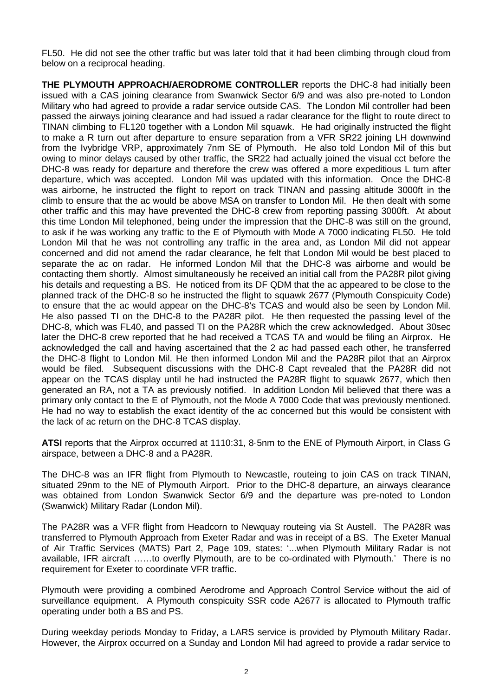FL50. He did not see the other traffic but was later told that it had been climbing through cloud from below on a reciprocal heading.

**THE PLYMOUTH APPROACH/AERODROME CONTROLLER** reports the DHC-8 had initially been issued with a CAS joining clearance from Swanwick Sector 6/9 and was also pre-noted to London Military who had agreed to provide a radar service outside CAS. The London Mil controller had been passed the airways joining clearance and had issued a radar clearance for the flight to route direct to TINAN climbing to FL120 together with a London Mil squawk. He had originally instructed the flight to make a R turn out after departure to ensure separation from a VFR SR22 joining LH downwind from the Ivybridge VRP, approximately 7nm SE of Plymouth. He also told London Mil of this but owing to minor delays caused by other traffic, the SR22 had actually joined the visual cct before the DHC-8 was ready for departure and therefore the crew was offered a more expeditious L turn after departure, which was accepted. London Mil was updated with this information. Once the DHC-8 was airborne, he instructed the flight to report on track TINAN and passing altitude 3000ft in the climb to ensure that the ac would be above MSA on transfer to London Mil. He then dealt with some other traffic and this may have prevented the DHC-8 crew from reporting passing 3000ft. At about this time London Mil telephoned, being under the impression that the DHC-8 was still on the ground, to ask if he was working any traffic to the E of Plymouth with Mode A 7000 indicating FL50. He told London Mil that he was not controlling any traffic in the area and, as London Mil did not appear concerned and did not amend the radar clearance, he felt that London Mil would be best placed to separate the ac on radar. He informed London Mil that the DHC-8 was airborne and would be contacting them shortly. Almost simultaneously he received an initial call from the PA28R pilot giving his details and requesting a BS. He noticed from its DF QDM that the ac appeared to be close to the planned track of the DHC-8 so he instructed the flight to squawk 2677 (Plymouth Conspicuity Code) to ensure that the ac would appear on the DHC-8's TCAS and would also be seen by London Mil. He also passed TI on the DHC-8 to the PA28R pilot. He then requested the passing level of the DHC-8, which was FL40, and passed TI on the PA28R which the crew acknowledged. About 30sec later the DHC-8 crew reported that he had received a TCAS TA and would be filing an Airprox. He acknowledged the call and having ascertained that the 2 ac had passed each other, he transferred the DHC-8 flight to London Mil. He then informed London Mil and the PA28R pilot that an Airprox would be filed. Subsequent discussions with the DHC-8 Capt revealed that the PA28R did not appear on the TCAS display until he had instructed the PA28R flight to squawk 2677, which then generated an RA, not a TA as previously notified. In addition London Mil believed that there was a primary only contact to the E of Plymouth, not the Mode A 7000 Code that was previously mentioned. He had no way to establish the exact identity of the ac concerned but this would be consistent with the lack of ac return on the DHC-8 TCAS display.

**ATSI** reports that the Airprox occurred at 1110:31, 8·5nm to the ENE of Plymouth Airport, in Class G airspace, between a DHC-8 and a PA28R.

The DHC-8 was an IFR flight from Plymouth to Newcastle, routeing to join CAS on track TINAN, situated 29nm to the NE of Plymouth Airport. Prior to the DHC-8 departure, an airways clearance was obtained from London Swanwick Sector 6/9 and the departure was pre-noted to London (Swanwick) Military Radar (London Mil).

The PA28R was a VFR flight from Headcorn to Newquay routeing via St Austell. The PA28R was transferred to Plymouth Approach from Exeter Radar and was in receipt of a BS. The Exeter Manual of Air Traffic Services (MATS) Part 2, Page 109, states: '...when Plymouth Military Radar is not available, IFR aircraft ……to overfly Plymouth, are to be co-ordinated with Plymouth.' There is no requirement for Exeter to coordinate VFR traffic.

Plymouth were providing a combined Aerodrome and Approach Control Service without the aid of surveillance equipment. A Plymouth conspicuity SSR code A2677 is allocated to Plymouth traffic operating under both a BS and PS.

During weekday periods Monday to Friday, a LARS service is provided by Plymouth Military Radar. However, the Airprox occurred on a Sunday and London Mil had agreed to provide a radar service to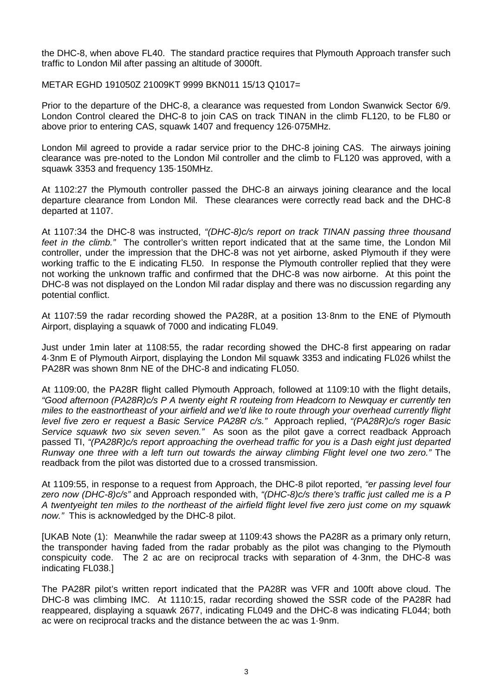the DHC-8, when above FL40. The standard practice requires that Plymouth Approach transfer such traffic to London Mil after passing an altitude of 3000ft.

METAR EGHD 191050Z 21009KT 9999 BKN011 15/13 Q1017=

Prior to the departure of the DHC-8, a clearance was requested from London Swanwick Sector 6/9. London Control cleared the DHC-8 to join CAS on track TINAN in the climb FL120, to be FL80 or above prior to entering CAS, squawk 1407 and frequency 126·075MHz.

London Mil agreed to provide a radar service prior to the DHC-8 joining CAS. The airways joining clearance was pre-noted to the London Mil controller and the climb to FL120 was approved, with a squawk 3353 and frequency 135·150MHz.

At 1102:27 the Plymouth controller passed the DHC-8 an airways joining clearance and the local departure clearance from London Mil. These clearances were correctly read back and the DHC-8 departed at 1107.

At 1107:34 the DHC-8 was instructed, *"(DHC-8)c/s report on track TINAN passing three thousand feet in the climb."* The controller's written report indicated that at the same time, the London Mil controller, under the impression that the DHC-8 was not yet airborne, asked Plymouth if they were working traffic to the E indicating FL50. In response the Plymouth controller replied that they were not working the unknown traffic and confirmed that the DHC-8 was now airborne. At this point the DHC-8 was not displayed on the London Mil radar display and there was no discussion regarding any potential conflict.

At 1107:59 the radar recording showed the PA28R, at a position 13·8nm to the ENE of Plymouth Airport, displaying a squawk of 7000 and indicating FL049.

Just under 1min later at 1108:55, the radar recording showed the DHC-8 first appearing on radar 4·3nm E of Plymouth Airport, displaying the London Mil squawk 3353 and indicating FL026 whilst the PA28R was shown 8nm NE of the DHC-8 and indicating FL050.

At 1109:00, the PA28R flight called Plymouth Approach, followed at 1109:10 with the flight details, *"Good afternoon (PA28R)c/s P A twenty eight R routeing from Headcorn to Newquay er currently ten miles to the eastnortheast of your airfield and we'd like to route through your overhead currently flight level five zero er request a Basic Service PA28R c/s."* Approach replied, *"(PA28R)c/s roger Basic Service squawk two six seven seven."* As soon as the pilot gave a correct readback Approach passed TI, *"(PA28R)c/s report approaching the overhead traffic for you is a Dash eight just departed Runway one three with a left turn out towards the airway climbing Flight level one two zero."* The readback from the pilot was distorted due to a crossed transmission.

At 1109:55, in response to a request from Approach, the DHC-8 pilot reported, *"er passing level four zero now (DHC-8)c/s"* and Approach responded with, *"(DHC-8)c/s there's traffic just called me is a P A twentyeight ten miles to the northeast of the airfield flight level five zero just come on my squawk now."* This is acknowledged by the DHC-8 pilot.

[UKAB Note (1): Meanwhile the radar sweep at 1109:43 shows the PA28R as a primary only return, the transponder having faded from the radar probably as the pilot was changing to the Plymouth conspicuity code. The 2 ac are on reciprocal tracks with separation of 4·3nm, the DHC-8 was indicating FL038.]

The PA28R pilot's written report indicated that the PA28R was VFR and 100ft above cloud. The DHC-8 was climbing IMC. At 1110:15, radar recording showed the SSR code of the PA28R had reappeared, displaying a squawk 2677, indicating FL049 and the DHC-8 was indicating FL044; both ac were on reciprocal tracks and the distance between the ac was 1·9nm.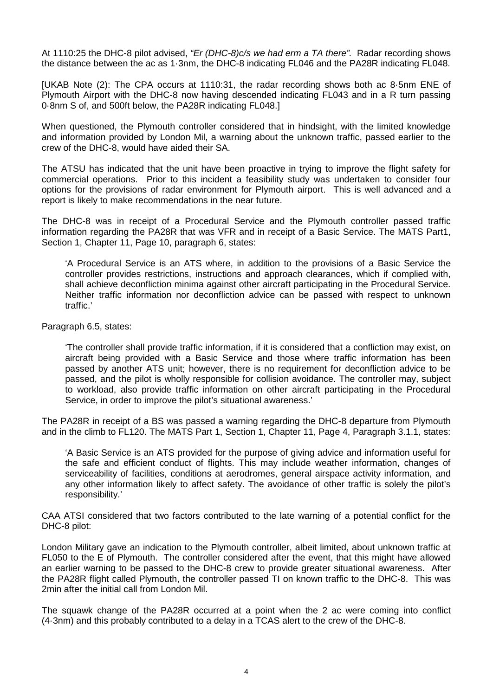At 1110:25 the DHC-8 pilot advised, *"Er (DHC-8)c/s we had erm a TA there".* Radar recording shows the distance between the ac as 1·3nm, the DHC-8 indicating FL046 and the PA28R indicating FL048.

[UKAB Note (2): The CPA occurs at 1110:31, the radar recording shows both ac 8·5nm ENE of Plymouth Airport with the DHC-8 now having descended indicating FL043 and in a R turn passing 0·8nm S of, and 500ft below, the PA28R indicating FL048.]

When questioned, the Plymouth controller considered that in hindsight, with the limited knowledge and information provided by London Mil, a warning about the unknown traffic, passed earlier to the crew of the DHC-8, would have aided their SA.

The ATSU has indicated that the unit have been proactive in trying to improve the flight safety for commercial operations. Prior to this incident a feasibility study was undertaken to consider four options for the provisions of radar environment for Plymouth airport. This is well advanced and a report is likely to make recommendations in the near future.

The DHC-8 was in receipt of a Procedural Service and the Plymouth controller passed traffic information regarding the PA28R that was VFR and in receipt of a Basic Service. The MATS Part1, Section 1, Chapter 11, Page 10, paragraph 6, states:

'A Procedural Service is an ATS where, in addition to the provisions of a Basic Service the controller provides restrictions, instructions and approach clearances, which if complied with, shall achieve deconfliction minima against other aircraft participating in the Procedural Service. Neither traffic information nor deconfliction advice can be passed with respect to unknown traffic.'

Paragraph 6.5, states:

'The controller shall provide traffic information, if it is considered that a confliction may exist, on aircraft being provided with a Basic Service and those where traffic information has been passed by another ATS unit; however, there is no requirement for deconfliction advice to be passed, and the pilot is wholly responsible for collision avoidance. The controller may, subject to workload, also provide traffic information on other aircraft participating in the Procedural Service, in order to improve the pilot's situational awareness.'

The PA28R in receipt of a BS was passed a warning regarding the DHC-8 departure from Plymouth and in the climb to FL120. The MATS Part 1, Section 1, Chapter 11, Page 4, Paragraph 3.1.1, states:

'A Basic Service is an ATS provided for the purpose of giving advice and information useful for the safe and efficient conduct of flights. This may include weather information, changes of serviceability of facilities, conditions at aerodromes, general airspace activity information, and any other information likely to affect safety. The avoidance of other traffic is solely the pilot's responsibility.'

CAA ATSI considered that two factors contributed to the late warning of a potential conflict for the DHC-8 pilot:

London Military gave an indication to the Plymouth controller, albeit limited, about unknown traffic at FL050 to the E of Plymouth. The controller considered after the event, that this might have allowed an earlier warning to be passed to the DHC-8 crew to provide greater situational awareness. After the PA28R flight called Plymouth, the controller passed TI on known traffic to the DHC-8. This was 2min after the initial call from London Mil.

The squawk change of the PA28R occurred at a point when the 2 ac were coming into conflict (4·3nm) and this probably contributed to a delay in a TCAS alert to the crew of the DHC-8.